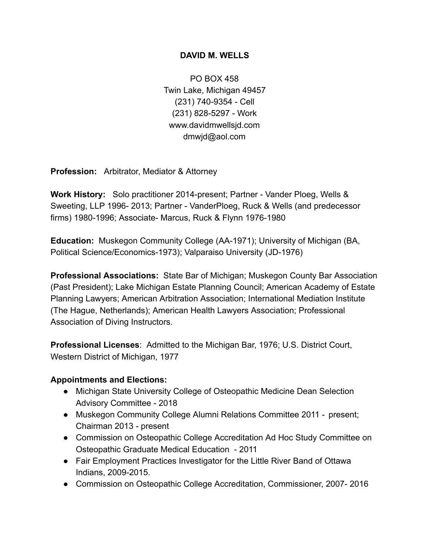## **DAVID M. WELLS**

PO BOX 458 Twin Lake, Michigan 49457 (231) 740-9354 - Cell (231) 828-5297 - Work www.davidmwellsjd.com dmwjd@aol.com

**Profession:** Arbitrator, Mediator & Attorney

**Work History:** Solo practitioner 2014-present; Partner - Vander Ploeg, Wells & Sweeting, LLP 1996- 2013; Partner - VanderPloeg, Ruck & Wells (and predecessor firms) 1980-1996; Associate- Marcus, Ruck & Flynn 1976-1980

**Education:** Muskegon Community College (AA-1971); University of Michigan (BA, Political Science/Economics-1973); Valparaiso University (JD-1976)

**Professional Associations:** State Bar of Michigan; Muskegon County Bar Association (Past President); Lake Michigan Estate Planning Council; American Academy of Estate Planning Lawyers; American Arbitration Association; International Mediation Institute (The Hague, Netherlands); American Health Lawyers Association; Professional Association of Diving Instructors.

**Professional Licenses: Admitted to the Michigan Bar, 1976; U.S. District Court,** Western District of Michigan, 1977

## **Appointments and Elections:**

- Michigan State University College of Osteopathic Medicine Dean Selection Advisory Committee - 2018
- Muskegon Community College Alumni Relations Committee 2011 present; Chairman 2013 - present
- Commission on Osteopathic College Accreditation Ad Hoc Study Committee on Osteopathic Graduate Medical Education - 2011
- Fair Employment Practices Investigator for the Little River Band of Ottawa Indians, 2009-2015.
- Commission on Osteopathic College Accreditation, Commissioner, 2007- 2016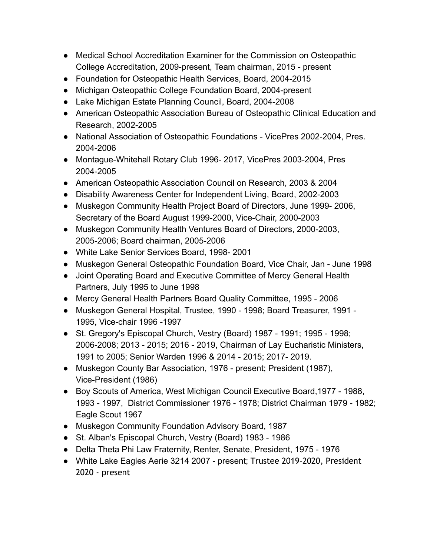- Medical School Accreditation Examiner for the Commission on Osteopathic College Accreditation, 2009-present, Team chairman, 2015 - present
- Foundation for Osteopathic Health Services, Board, 2004-2015
- Michigan Osteopathic College Foundation Board, 2004-present
- Lake Michigan Estate Planning Council, Board, 2004-2008
- American Osteopathic Association Bureau of Osteopathic Clinical Education and Research, 2002-2005
- National Association of Osteopathic Foundations VicePres 2002-2004, Pres. 2004-2006
- Montague-Whitehall Rotary Club 1996- 2017, VicePres 2003-2004, Pres 2004-2005
- American Osteopathic Association Council on Research, 2003 & 2004
- Disability Awareness Center for Independent Living, Board, 2002-2003
- Muskegon Community Health Project Board of Directors, June 1999- 2006, Secretary of the Board August 1999-2000, Vice-Chair, 2000-2003
- Muskegon Community Health Ventures Board of Directors, 2000-2003, 2005-2006; Board chairman, 2005-2006
- White Lake Senior Services Board, 1998- 2001
- Muskegon General Osteopathic Foundation Board, Vice Chair, Jan June 1998
- Joint Operating Board and Executive Committee of Mercy General Health Partners, July 1995 to June 1998
- Mercy General Health Partners Board Quality Committee, 1995 2006
- Muskegon General Hospital, Trustee, 1990 1998; Board Treasurer, 1991 1995, Vice-chair 1996 -1997
- St. Gregory's Episcopal Church, Vestry (Board) 1987 1991; 1995 1998; 2006-2008; 2013 - 2015; 2016 - 2019, Chairman of Lay Eucharistic Ministers, 1991 to 2005; Senior Warden 1996 & 2014 - 2015; 2017- 2019.
- Muskegon County Bar Association, 1976 present; President (1987), Vice-President (1986)
- Boy Scouts of America, West Michigan Council Executive Board,1977 1988, 1993 - 1997, District Commissioner 1976 - 1978; District Chairman 1979 - 1982; Eagle Scout 1967
- Muskegon Community Foundation Advisory Board, 1987
- St. Alban's Episcopal Church, Vestry (Board) 1983 1986
- Delta Theta Phi Law Fraternity, Renter, Senate, President, 1975 1976
- White Lake Eagles Aerie 3214 2007 present; Trustee 2019-2020, President 2020 - present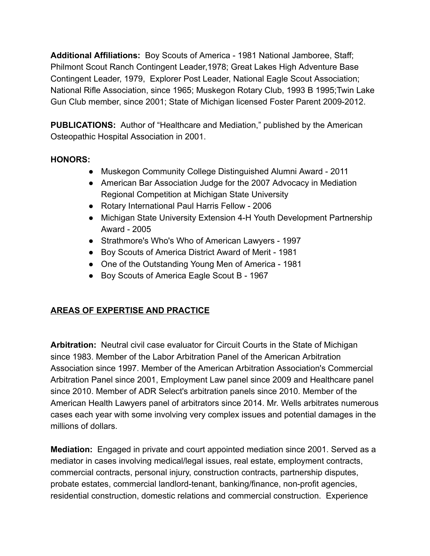**Additional Affiliations:** Boy Scouts of America - 1981 National Jamboree, Staff; Philmont Scout Ranch Contingent Leader,1978; Great Lakes High Adventure Base Contingent Leader, 1979, Explorer Post Leader, National Eagle Scout Association; National Rifle Association, since 1965; Muskegon Rotary Club, 1993 B 1995;Twin Lake Gun Club member, since 2001; State of Michigan licensed Foster Parent 2009-2012.

**PUBLICATIONS:** Author of "Healthcare and Mediation," published by the American Osteopathic Hospital Association in 2001.

## **HONORS:**

- Muskegon Community College Distinguished Alumni Award 2011
- American Bar Association Judge for the 2007 Advocacy in Mediation Regional Competition at Michigan State University
- Rotary International Paul Harris Fellow 2006
- Michigan State University Extension 4-H Youth Development Partnership Award - 2005
- Strathmore's Who's Who of American Lawyers 1997
- Boy Scouts of America District Award of Merit 1981
- One of the Outstanding Young Men of America 1981
- Boy Scouts of America Eagle Scout B 1967

## **AREAS OF EXPERTISE AND PRACTICE**

**Arbitration:** Neutral civil case evaluator for Circuit Courts in the State of Michigan since 1983. Member of the Labor Arbitration Panel of the American Arbitration Association since 1997. Member of the American Arbitration Association's Commercial Arbitration Panel since 2001, Employment Law panel since 2009 and Healthcare panel since 2010. Member of ADR Select's arbitration panels since 2010. Member of the American Health Lawyers panel of arbitrators since 2014. Mr. Wells arbitrates numerous cases each year with some involving very complex issues and potential damages in the millions of dollars.

**Mediation:** Engaged in private and court appointed mediation since 2001. Served as a mediator in cases involving medical/legal issues, real estate, employment contracts, commercial contracts, personal injury, construction contracts, partnership disputes, probate estates, commercial landlord-tenant, banking/finance, non-profit agencies, residential construction, domestic relations and commercial construction. Experience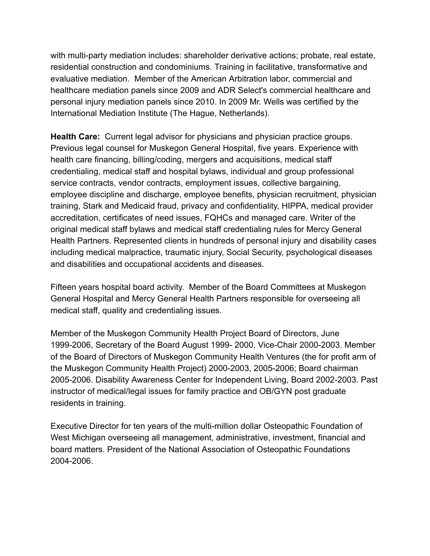with multi-party mediation includes: shareholder derivative actions; probate, real estate, residential construction and condominiums. Training in facilitative, transformative and evaluative mediation. Member of the American Arbitration labor, commercial and healthcare mediation panels since 2009 and ADR Select's commercial healthcare and personal injury mediation panels since 2010. In 2009 Mr. Wells was certified by the International Mediation Institute (The Hague, Netherlands).

**Health Care:** Current legal advisor for physicians and physician practice groups. Previous legal counsel for Muskegon General Hospital, five years. Experience with health care financing, billing/coding, mergers and acquisitions, medical staff credentialing, medical staff and hospital bylaws, individual and group professional service contracts, vendor contracts, employment issues, collective bargaining, employee discipline and discharge, employee benefits, physician recruitment, physician training, Stark and Medicaid fraud, privacy and confidentiality, HIPPA, medical provider accreditation, certificates of need issues, FQHCs and managed care. Writer of the original medical staff bylaws and medical staff credentialing rules for Mercy General Health Partners. Represented clients in hundreds of personal injury and disability cases including medical malpractice, traumatic injury, Social Security, psychological diseases and disabilities and occupational accidents and diseases.

Fifteen years hospital board activity. Member of the Board Committees at Muskegon General Hospital and Mercy General Health Partners responsible for overseeing all medical staff, quality and credentialing issues.

Member of the Muskegon Community Health Project Board of Directors, June 1999-2006, Secretary of the Board August 1999- 2000, Vice-Chair 2000-2003. Member of the Board of Directors of Muskegon Community Health Ventures (the for profit arm of the Muskegon Community Health Project) 2000-2003, 2005-2006; Board chairman 2005-2006. Disability Awareness Center for Independent Living, Board 2002-2003. Past instructor of medical/legal issues for family practice and OB/GYN post graduate residents in training.

Executive Director for ten years of the multi-million dollar Osteopathic Foundation of West Michigan overseeing all management, administrative, investment, financial and board matters. President of the National Association of Osteopathic Foundations 2004-2006.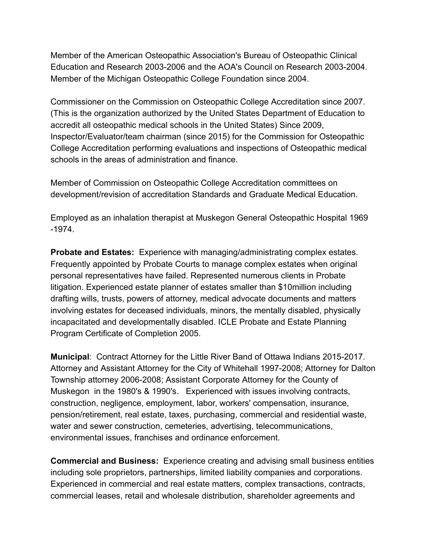Member of the American Osteopathic Association's Bureau of Osteopathic Clinical Education and Research 2003-2006 and the AOA's Council on Research 2003-2004. Member of the Michigan Osteopathic College Foundation since 2004.

Commissioner on the Commission on Osteopathic College Accreditation since 2007. (This is the organization authorized by the United States Department of Education to accredit all osteopathic medical schools in the United States) Since 2009, Inspector/Evaluator/team chairman (since 2015) for the Commission for Osteopathic College Accreditation performing evaluations and inspections of Osteopathic medical schools in the areas of administration and finance.

Member of Commission on Osteopathic College Accreditation committees on development/revision of accreditation Standards and Graduate Medical Education.

Employed as an inhalation therapist at Muskegon General Osteopathic Hospital 1969 -1974.

**Probate and Estates:** Experience with managing/administrating complex estates. Frequently appointed by Probate Courts to manage complex estates when original personal representatives have failed. Represented numerous clients in Probate litigation. Experienced estate planner of estates smaller than \$10million including drafting wills, trusts, powers of attorney, medical advocate documents and matters involving estates for deceased individuals, minors, the mentally disabled, physically incapacitated and developmentally disabled. ICLE Probate and Estate Planning Program Certificate of Completion 2005.

**Municipal: Contract Attorney for the Little River Band of Ottawa Indians 2015-2017.** Attorney and Assistant Attorney for the City of Whitehall 1997-2008; Attorney for Dalton Township attorney 2006-2008; Assistant Corporate Attorney for the County of Muskegon in the 1980's & 1990's. Experienced with issues involving contracts, construction, negligence, employment, labor, workers' compensation, insurance, pension/retirement, real estate, taxes, purchasing, commercial and residential waste, water and sewer construction, cemeteries, advertising, telecommunications, environmental issues, franchises and ordinance enforcement.

**Commercial and Business:** Experience creating and advising small business entities including sole proprietors, partnerships, limited liability companies and corporations. Experienced in commercial and real estate matters, complex transactions, contracts, commercial leases, retail and wholesale distribution, shareholder agreements and